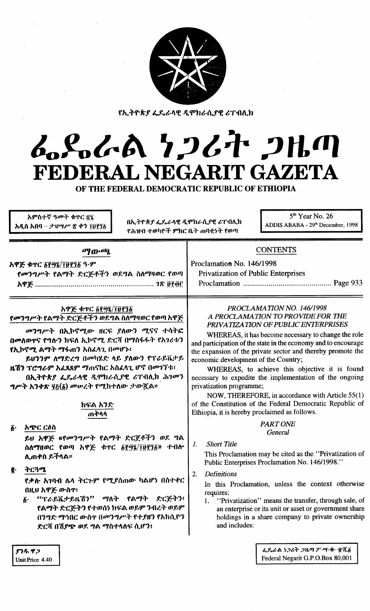

የኢትዮጵያ ፌዴራላዊ ዲሞክራሲያዊ ሪፐብሊክ

# ムパイム 1267 2Hm FEDERAL NEGARIT GAZETA

OF THE FEDERAL DEMOCRATIC REPUBLIC OF ETHIOPIA

| አምስተኛ ዓመት ቁጥር ፳፯<br>በኢተዮጵያ ፌዴራላዊ ዲሞክራሲያዊ ሪፐብሊክ<br>አዲስ አበባ – ታህሣሥ ጽ ቀን ፲፱፻፺፩<br>የሕዝብ ተወካዮች ምክር ቤት ጠባቂነት የወጣ                                                                                                                                                                                                                                                        | $5th$ Year No. 26<br>ADDIS ABABA - 29th December, 1998                                                                                                                                                                                                                                                                                                                                                                                                                                                                                                                                                                                           |  |  |  |
|-------------------------------------------------------------------------------------------------------------------------------------------------------------------------------------------------------------------------------------------------------------------------------------------------------------------------------------------------------------------|--------------------------------------------------------------------------------------------------------------------------------------------------------------------------------------------------------------------------------------------------------------------------------------------------------------------------------------------------------------------------------------------------------------------------------------------------------------------------------------------------------------------------------------------------------------------------------------------------------------------------------------------------|--|--|--|
| ማውጫ<br>አዋጅ ቁጥር ፩፻፵፮/፲፱፻፺፩ ዓ·ም<br>የመንግሥት የልማት ድርጅቶችን ወደግል ስለማዛወር የወጣ                                                                                                                                                                                                                                                                                               | <b>CONTENTS</b><br>Proclamation No. 146/1998<br><b>Privatization of Public Enterprises</b>                                                                                                                                                                                                                                                                                                                                                                                                                                                                                                                                                       |  |  |  |
| አዋጅ ቁጥር ፩፻፵፯/፲፱፻፺፩<br>የመንግሥት የልማት ድርጅቶችን ወደግል ስለማዛወር የወጣ አዋጅ<br>መንግሥት በኢኮኖሚው ዘርፍ ያለውን ሚናና ተሳትፎ<br>በመለወዋና የግሎን ክፍለ ኢኮኖሚ ድርሻ በማስፋፋት የአገሪቱን<br>የኢኮኖሚ ልማት ማፋጠን አስፈላጊ በመሆኑ፣<br>ይህንንም ለማድረግ በመካሂድ ላይ ያለውን የፕራይቬታይ<br>ዜሽን ፕሮግራም አፌጻጸም ማጠናከር አስፈላጊ ሆኖ በመገኘቱ፣<br>በኢትዮጵያ ፌዴራላዊ ዲሞክራሲያዊ ሪፐብሊክ ሕገመን<br>ግሥት አንቀጽ ፶፩(፩) መሠረት የሚከተለው ታውጇል።<br>ክፍል አንድ<br>ጠቅላላ                    | PROCLAMATION NO. 146/1998<br>A PROCLAMATION TO PROVIDE FOR THE<br>PRIVATIZATION OF PUBLIC ENTERPRISES<br>WHEREAS, it has become necessary to change the role<br>and participation of the state in the economy and to encourage<br>the expansion of the private sector and thereby promote the<br>economic development of the Country;<br>WHEREAS, to achieve this objective it is found<br>necessary to expedite the implementation of the ongoing<br>privatization programme;<br>NOW, THEREFORE, in accordance with Article 55(1)<br>of the Constitution of the Federal Democratic Republic of<br>Ethiopia, it is hereby proclaimed as follows. |  |  |  |
| አጭር ርዕስ<br>$\boldsymbol{\delta}$ .<br>ይሀ አዋጅ «የመንግሥት የልማት ድርጀቶችን ወደ ግል<br>ስለማዘወር የወጣ አዋጅ ቁጥር ፩፻፵፯/፲፱፻፺፩» ተብሎ<br>ሊጠቀስ ይችላል፡፡<br>ትርጓሜ<br>ğ.<br>የቃሉ አገባብ ሌላ ትርጉም የሚያሰጠው ካልሆነ በስተቀር<br>በዚህ አዋጅ ውስዋ፣<br>"ፕራይቬታይዜሽን" ማለት የልማት ድርጅትን፥<br>$\boldsymbol{\delta}$ .<br>የልማት ድርጅትን የተወሰነ ክፍል ወይም ንብረት ወይም<br>በንግድ ማኅበር ውስጥ በመንግሥት የተያዘን የአክሲዮን<br>ድርሻ በሽያጭ ወደ ግል ማስተላለፍ ሲሆን፤ | <b>PART ONE</b><br>General<br><b>Short Title</b><br>1.<br>This Proclamation may be cited as the "Privatization of<br>Public Enterprises Proclamation No. 146/1998."<br>2.<br><b>Definitions</b><br>In this Proclamation, unless the context otherwise<br>requires:<br>"Privatization" means the transfer, through sale, of<br>1.<br>an enterprise or its unit or asset or government share<br>holdings in a share company to private ownership<br>and includes:                                                                                                                                                                                  |  |  |  |
| ያንዱ ዋጋ<br>Unit Price 4.40                                                                                                                                                                                                                                                                                                                                         | ፌጼራል ነጋሪት ጋዜጣ ፖ ሣ ቁ ተሺ፩<br>Federal Negarit G.P.O.Box 80,001                                                                                                                                                                                                                                                                                                                                                                                                                                                                                                                                                                                      |  |  |  |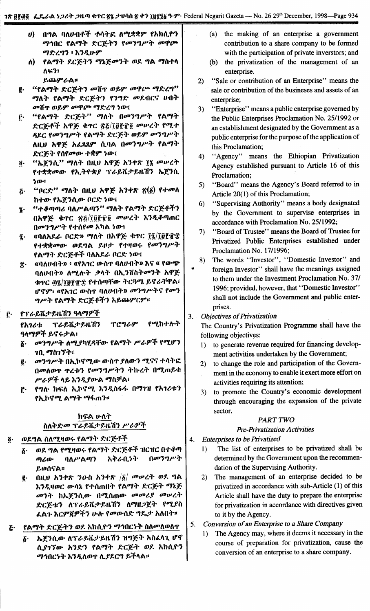- በግል ባለሀብቶች ተላትፎ ለሚቋቋም የአክሲዮን  $\boldsymbol{\theta}$ ማኅበር የልማት ድርጅትን የመንግሥት መዋጮ ማድረግን ፡ እንዲሁም
- የልማት ደርጅትን ማኔጅመንት ወደ ግል ማስተላ ለ) ለፍን፣ ይጨምራል።
- "የልማት ድርጅትን መሽጥ ወይም መዋጮ ማድረግ" ę. ማለት የልማት ድርጅትን የንግድ መደብርና ሀብት መሽጥ ወይም መዋጮ ማድረግ ነው፤
- "የልማት ድርጅት" ማለት በመንግሥት የልማት ŗ٠ ድርጅቶች አዋጅ ቁጥር ጽ፩/፲፱፻፹፬ መሠረት የሚተ ጻደር የመንግሥት የልማት ድርጅት ወይም መንግሥት ለዚህ አዋጅ አፈጻጸም ሲባል በመንግሥት የልማት ድርጅት የሰየመው ተቋም ነው፣
- "ኤጀንሲ" ማለት በዚህ አዋጅ አንቀጽ ፲፯ መሠረት  $\overline{\mathbf{0}}$  . የተቋቋመው የኢትዮጵያ ፕራይቬታይዜሽን ኤጀንሲ ነው።
- "ቦርድ'' ማለት በዚህ አዋጅ አንቀጽ ፳ $(5)$  የተመለ  $\boldsymbol{\tilde{G}}$ ከተው የኤጀንሲው ቦርድ ነው፤
- "ተቆጣጣሪ ባለሥልጣን" ማለት የልማት ድርጅቶችን  $\ddot{\textbf{i}}$ . በአዋጅ ቁዋር ጽ፩/፲፱፻፹፬ መሥረት እንዲቆጣጠር በመንግሥት የተሰየመ አካል ነው፤
- «ባለአዶራ ቦርድ» ማለት በአዋጅ ቀጥር ፲፯/፲፱፻፹፰  $\tilde{\mathbf{z}}$ . የተቋቋመው ወደግል ይዞታ የተዛወሩ የመንግሥት የልማት ድርጅቶች ባለአደራ ቦርድ ነው፤
- «ባለሀብት» ፡ «የአገር ውስዋ ባለሀብት» እና « የውጭ  $\ddot{\mathbf{r}}$ . ባለሀብት» ለሚሉት ቃላት በኢንቨስትመንት አዋጅ ቁዋር ፴፯/፲፱፻፹፰ የተሰጣቸው ትርጓሜ ይኖራቸዋል፣ ሆኖም፣ «የአገር ውስዋ ባለሀብት» መንግሥትና የመን ግሥት የልማት ድርጅቶችን አይጨምርም።

#### የፕራይቬታይዜሽን ዓላማዎች ŕ٠

ፕራይቬታይዜሽን የሚከተሉት ፕሮግራም የአገሪቱ ዓላማዎች ይኖሩታል፣

- መንግሥት ለሚያካሂዳቸው የልማት ሥራዎች የሚሆን *ኀ*ቢ ማስገኘት፣
- መንግሥት በኢኮኖሚው ውስጥ ያለውን ሚናና ተሳትፎ ĝ. በመለወዋ ዋረቱን የመንግሥትን ትኩረት በሚጠይቁ ሥራዎች ላይ እንዲያውል ማስቻል፣
- የግሉ ክፍለ ኢኮኖሚ እንዲስፋፋ በማገዝ የአገሪቱን  $\mathbf{r}$ የኢኮኖሚ ልማት ማፋጠን።

## ክፍል ሁለት ስለቅድመ ፕራይቬታይዜሽን ሥራዎች

#### ወደግል ስለሚዛወሩ የልማት ድርጅቶች ğ.

- ወደ ግል የሚዛወሩ የልማት ድርጅቶች ዝርዝር በተቆጣ  $\boldsymbol{\delta}$  . በመንግሥት ጣሪው ባለሥልጣን አቅራቢነት ይወሰናል።
- ፪· በዚህ አንቀጽ ንዑስ አንቀጽ /፩/ *መሡረ*ት ወደ ግል እንዲዛወር ውሳኔ የተሰጠበት የልማት ድርጅት ማኔጅ መንት ከኤጀንሲው በሚሰጠው መመሪያ መሠረት ድርጅቱን ለፕራይቬታይዜሽን ለማዘጋጀት የሚያስ ፌልጉ እርምጃዎችን ሁሉ የመውሰድ ግዴታ አለበት።

#### የልማት ድርጅትን ወደ አክሲዮን ማኅበርነት ስለመለወለጥ Ŀغ

ኤጀንሲው ለፕራይቬታይዜሽን ዝግጅት አስፈላጊ ሆኖ  $\delta$ . ሲያኀኘው አንድን የልማት ድርጅት ወደ አክሲዮን ማኅበርነት እንዲለወዋ ሊያደርግ ይችላል።

- (a) the making of an enterprise a government contribution to a share company to be formed with the participation of private inverstors; and
- (b) the privatization of the management of an enterprise.
- "Sale or contribution of an Enterprise" means the  $2)$ sale or contribution of the busineses and assets of an enterprise;
- "Enterprise" means a public enterprise governed by  $3)$ the Public Enterprises Proclamation No. 25/1992 or an establishment designated by the Government as a public enterprise for the purpose of the application of this Proclamation:
- "Agency" means the Ethiopian Privatization  $4)$ Agency established pursuant to Article 16 of this Proclamation;
- "Board" means the Agency's Board referred to in  $5)$ Article 20(1) of this Proclamation;
- "Supervising Authority" means a body designated  $6)$ by the Government to supervise enterprises in accordance with Proclamation No. 25/1992;
- "Board of Trustee" means the Board of Trustee for 7) Privatized Public Enterprises established under Proclamation No. 17/1996;
- The words "Investor", "Domestic Investor" and 8) foreign Investor" shall have the meanings assigned to them under the Investment Proclamation No. 37/ 1996; provided, however, that "Domestic Investor" shall not include the Government and public enterprises.

3. Objectives of Privatization

The Country's Privatization Programme shall have the following objectives:

- to generate revenue required for financing develop- $1)$ ment activities undertaken by the Government;
- to change the role and participation of the Govern- $2)$ ment in the economy to enable it exert more effort on activities requiring its attention;
- to promote the Country's economic development  $3)$ through encouraging the expansion of the private sector.

#### **PART TWO**

#### **Pre-Privatization Activities**

**Enterprises to be Privatized** 4.

- The list of enterprises to be privatized shall be  $1)$ determined by the Government upon the recommendation of the Supervising Authority.
- 2) The management of an enterprise decided to be privatized in accordance with sub-Article (1) of this Article shall have the duty to prepare the enterprise for privatization in accordance with directives given to it by the Agency.
- Conversion of an Enterprise to a Share Company 5.
	- The Agency may, where it deems it necessary in the  $1)$ course of preparation for privatization, cause the conversion of an enterprise to a share company.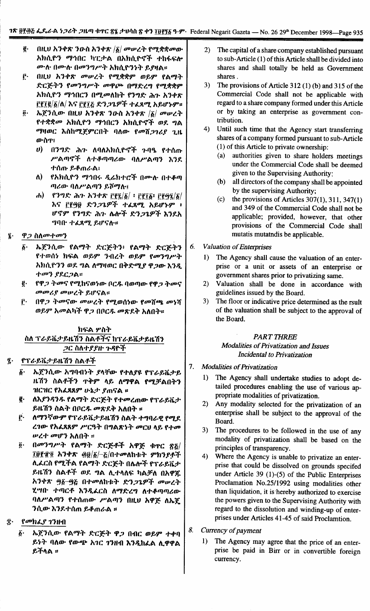- $\vec{e} \cdot$ በዚህ አንቀጽ ንዑስ አንቀጽ / $\delta$ / መሥረት የሚቋቋመው አክሲዮን ማኅበር ካፒታል በአክሲዮኖች ተከፋፍሎ ሙሉ በሙሉ በመንግሥት አክሲዮንነት ይያዛል።
- በዚህ አንቀጽ መሠረት የሚቋቋም ወይም የልማት ŕ. ድርጅትን የመንግሥት መዋጮ በማድረግ የሚቋቋም አክሲዮን ማኅበርን በሚመለከት የንግድ ሕጉ አንቀጽ <u> ΓΓΙΕ/δ/Λ/ እና ΓΓΙΣ ድንጋጌዎች ተፈጸሚ አይሆኑም።</u>
- ኤጀንሲው በዚህ አንቀጽ ንዑስ አንቀጽ / $\delta$ / መሥረት  $\overline{\mathbf{0}}$ . የተቋቋመ አክሲዮን ማኅበርን አክሲዮኖች ወደ ግል ማዛወር እስከሚጀምርበት ባለው የመሸ*ጋገሪ*ያ ጊዜ ውስጥ፤
	- $\boldsymbol{\theta}$ በንግድ ሕጉ ለባለአክሲዮኖች ጉባዔ የተሰጡ ሥልጣኖች ለተቆጣጣሪው ባለሥልጣን እንደ ተሰጡ ይቆጠራል፤
	- የአክሲዮን ማኅበሩ ዲሬክተሮች በሙሉ በተቆጣ ለ): ጣሪው ባለሥልጣን ይሾማሉ፤
	- የንግድ ሕጉ አንቀጽ ፫፻፯/፩/ ፡ ፫፻፲፩፡ ፫፻፵፯/፩/  $\left( \mathbf{r}\right)$ እና ፫፻፵፱ ድን*ጋጌዎች ተልጸሚ አይሆኑም* ፣ ሆኖም የንግድ ሕጉ ሴሎች ድንጋጌዎች እንደአ ግባቡ ተፈጸሚ ይሆናሉ።
- ዋጋ ስለመተመን  $\mathbf{\hat{z}}$ .
	- ኤጀንሲው የልማት ድርጅትን፥ የልማት ድርጅትን  $\boldsymbol{\delta}$ የተወሰነ ክፍል ወይም ንብረት ወይም የመንግሥት አክሲዮንን ወደ ግል ለማዛወር በቅድሚ*ያ ዋጋ*ው እንዲ ተመን የደርጋል።
	- የዋ*ጋ ትመና የሚ*ከናወነው በር**ዱ ባወ**ጣው የዋ*ጋ ትመና* ę. መመሪያ መሠረት ይሆናል።
	- ŕ٠ በዋ*ጋ ትመናው መሠረት የሚወ*ሰነው የመሸጫ መነሻ ወይም አመልካች ዋጋ በቦርዱ መጽደቅ አለበት።

## ክፍል ሦስት ስለ ፕራይቬታይዜሽን ስልቶችና ከፕራይቬታይዜሽን ጋር ስለተያያዙ ጉዳዮች

- የፕራይቬታይዜሽን ስልቶች  $\tilde{\mathbf{z}}$ .
	- ኤጀንሲው አግባብነት ያላቸው የተለያዩ የፕራይቬታይ  $\boldsymbol{\delta}$ . ዜሽን ስልቶችን ጥቅም ላይ ለማዋል የሚቻልበትን ዝርዝር የአፈጻጸም ሁኔታ ያጠናል ፡፡
	- ę. ለእያንዳንዱ የልማት ድርጅት የተመረጠው የፕራይቬታ ይዜሽን ስልት በቦርዱ መጽደቅ አለበት ፡፡
	- $\mathbf{r}$ ለማንኛውም የፕራይቬታይዜሽን ስልት ተግባራዊ የሚደ ረገው የአፈጻጸም ሥርዓት በግልጽነት መርሀ ላይ የተመ ሥረተ መሆን አለበት ፡፡
	- በመንግሥት የልማት ድርጅቶች አዋጅ ቁዋር ጽኔ/  $\ddot{\mathbf{0}}$ .  $10$ የተΩ አንቀጽ ፴፱/፩/-፩/በተመለከቱት ምክንያቶች ሊፌርስ የሚችል የልማት ድርጅት በሴሎች የፕራይቬታ ይዜሽን ስልቶች ወደ ግል ሊተላለፍ ካልቻለ በአዋጁ አንቀጽ ፵፩-፵፭ በተመለከቱት ድን*ጋጌዎች መ*ሥረት ሂሣቡ ተጣርቶ እንዲፈርስ ለማድረግ ለተቆጣጣሪው ባለሥልጣን የተሰጠው ሥልጣን በዚህ አዋጅ ለኤጀ ንሲው እንደተሰጠ ይቆጠራል ፡፡
- የመክፌያ ገንዘብ
	- ኤጀንሲው የልማት ድርጅት ዋጋ በብር ወይም ተቀባ δ. ይነት ባለው የውጭ አገር ገንዘብ እንዲከፈል ሊዋዋል ይችላል ።
- $(2)$ The capital of a share company established pursuant to sub-Article (1) of this Article shall be divided into shares and shall totally be held as Government shares.
- $3)$ The provisions of Article  $312(1)$  (b) and  $315$  of the Commercial Code shall not be applicable with regard to a share company formed under this Article or by taking an enterprise as government contribution.
- $4)$ Until such time that the Agency start transferring shares of a company formed pursuant to sub-Article (1) of this Article to private ownership:
	- $(a)$ authorities given to share holders meetings under the Commercial Code shall be deemed given to the Supervising Authority:
	- $(b)$ all directors of the company shall be appointed by the supervising Authority;
	- $(c)$ the provisions of Articles  $307(1)$ ,  $311$ ,  $347(1)$ and 349 of the Commercial Code shall not be applicable; provided, however, that other provisions of the Commercial Code shall mutatis mutatndis be applicable.
- **Valuation of Enterprises** 6.
	- $\mathbf{D}$ The Agency shall cause the valuation of an enterprise or a unit or assets of an enterprise or government shares prior to privatizing same.
	- $2)$ Valuation shall be done in accordance with guidelines issued by the Board.
	- $3)$ The floor or indicative price determined as the rsult of the valuation shall be subject to the approval of the Board.

## **PART THREE**

#### **Modalities of Privatization and Issues** Incidental to Privatization

- 7. **Modalities of Privatization** 
	- $1)$ The Agency shall undertake studies to adopt detailed procedures enabling the use of various appropriate modalities of privatization.
	- $2)$ Any modality selected for the privatization of an enterprise shall be subject to the approval of the Board.
	- The procedures to be followed in the use of any  $3)$ modality of privatization shall be based on the principles of transparency.
	- Where the Agency is unable to privatize an enter- $4)$ prise that could be dissolved on grounds specifed under Article 39  $(1)$ - $(5)$  of the Public Enterprises Proclamation No.25/1992 using modalities other than liquidation, it is hereby authorized to exercise the powers given to the Supervising Authority with regard to the dissolution and winding-up of enterprises under Articles 41-45 of said Proclamtion.
- 8. Currency of payment
	- 1) The Agency may agree that the price of an enterprise be paid in Birr or in convertible foreign currency.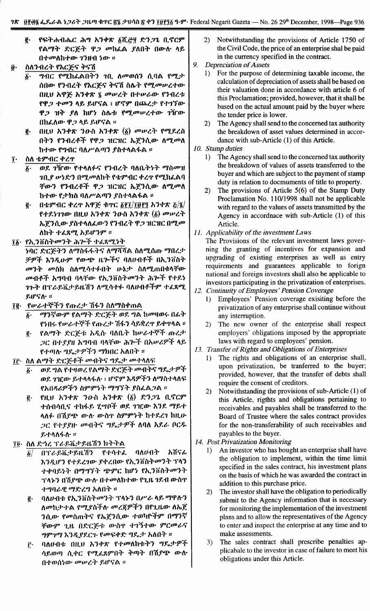- $C_{\epsilon}$ : የፍትሐብሔር ሕግ አንቀጽ ፩ሺ<u>ሮ</u>፶ ድን*ጋ*ጌ ቢኖርም fልማት ድርጅት ዋ*ጋ መ*ከፌል ያለበት በውሱ ላይ  $0$ ተመለከተው ገንዘብ ነው ።
- $\widehat{\boldsymbol{\theta}}$ · ስለንብረት የእርጅና ቅናሽ
	- $\delta$ · *ግብር የሚከፌ*ልበትን *ነ*ቢ ለመወሰን ሲባል የሚታ ሰበው የንብረት የእርጅና ቅናሽ ስሴት የ*ሚመ*ሠረተው በዚህ አዋጅ አንቀጽ ፯ *መ*ሥረት በተሥራው የንብረቱ fዋ*ጋ ተመ*ን ላይ ይሆናል ፣ ሆኖም በጨረታ የተገኘው ዋ*ጋ* ዝቅ ያለ ከሆነ ስሌቱ የሚመሥረተው *ገ*ዥው nhLI\fD- *tp;J* ,,~ *~tr'ilA* ::
	- ~. ntLU *h'}.,.W '}o-il h'}.,.W (li) OOIP~""* fOtJ..l'.~il በትን የንብረቶች የዋ*ጋ* ዝርዝር ኤጀንሲው ለሚመለ h+fD- f..,lIC *ql\rlAlIJ'} lil+"IA~1A* ::
- $I_1$  ስለ ቴምብር ቀረጥ
	- $\overline{\delta}$ · ወደ *ገኘ*rው የተላለፉና የንብረት ባለቤትነት ማስመዝ *ገቢያ ሡነድን በሚመ*ለከት የቴምብር ቀረጥ የሚከፈልባ *TtD-'}* f111~.y.'f *tp;J 11C11C* "-1:'}(\.fD- *I\0tJ.00I\* h+fD- f:rhil *ql\rlAlIJ'} lil'''''IA~1A* ::
	- <u>፪</u>· በቴምብር ቀረጥ አዋጅ ቁጥር ፩፻፲/፲፱፻፺ አንቀጽ ፩/፮/ f+.l'.~11fD- mLu *h'}.,.W '}o-il h'}.,.W (li) OOIP~"" ኤ*ጀንሲው ያስተላለፌውን የንብረት ዋ*ጋ* ዝርዝር በሚ*መ* I\h"" *+L~OtJ. h~tr19"* ::
- ፲፩· <mark>የኢንቨስትሙንት ሕጕች ተፈጸሚነት</mark>
	- ~ q C *f:c;Eo""1* 1\*DIlil* tf.tf.""'i 1\*0tJ*'7i'7iIA il 1\01/.{tm *0tJ*n *~:r ቻዎች እንዲሁም የውጭ ዜጕች*ና ባለሀብቶች በኢንቨስት *መንት መ*ስክ ስለሚሳተፉበት ሁኔታ ስለሚጠበቁላቸው *መብቶች አግ*ባብ ባላቸው የኢንቨስት*መ*ንት ሕጕች የተደነ " 1,."" nT t-~ii;'~IL 7i1 *I\0tJ."+4-* ql\UlI.y.'f9" *+L~OtJ.*  $\mathcal{L}$ ሆናሉ $\cdot$  ፡፡
- *I~'* flP/..+7f>'f'} fm~:r 7i~ 1 *ill\OIJil"'mlA*
	- *li' 0tJ1~fD-9"* fIAOIJ"'- *f:C;Eo"" tDf,* ..,IA hoot,tD-t- n~."" f~n-t- *flP/,-.,.7f>':(.* fm~:" 'li~1 *"~\*l1' ~"'1'''IA::*
	- $\frac{\vec{g}}{g}$ · የልማት ድርጅቱ አዲሱ ባለቤት ከሥራተኞች ጡረታ ;JC (H'.r.rtl h""HI '1";'~fD- ;,..,.,':(. *nt,lPt9''f* ,,~ f+lIJ~ *"'~:r9":;'1* OIJhnc *hl\lH'* ::
- $\Pi$ : ስለ ልማት ድርጅቶች መብትና ግዴታ መተላለፍ
	- $\delta$ · *ወ*ደ ግል የተዛወረ የልማት ድርጅት መብትና ግዴታዎች
	- ወደ *ገገ*ርው ይተላላፋለ ፣ ሆኖም እዳዎችን ለማስተላለፍ fhn~&9'':('1 *il9"9"~')' 0IJ"'1"" .rilLIA;J1A* ::
	- ~. fllU *h1.,.W 10.il h1.,.W (li) f:1;J1.* n.'iC9" .ተሰብሳቢና *ተ*ከፋይ ሂሣቦች ወደ *ገዢው እንደ ማ*ይተ *"1\4-* n7il6J1" *(D-I\-* (D'ilT *il9"9"~""* h+.l'.~1 htl.l1- ;JC f.,..r.ru' OO1H''i *"'~:r9''f I\ql\ h.l'./..* PC.';.  $R + \Lambda \Lambda + \Lambda$  ፡፡
- 1.9.- ill\ *f:"'~* T */'-~ii:r* ~IL7i1 *h""""1A*
	- $\tilde{g}/$  በፕ*ራይ*ቬታይዜሽን የተሳተፈ ባለሀብት አሸናፊ እንዲሆን የተደረገው *ያ*ቀረበው የኢንቨስት*መ*ንት ፕላን ተቀባይነት በማግኘት ጭምር ከሆነ የኢንቨስት*መ*ንት ፕላኑን በሽ*ያጭ* ውሉ በተመለከተው የጊዜ 1ደብ ውስዋ +"'f}t.'e *0tJf:~'"* hl\n"" ::
	- ~. ql\UlI1: fh. 1 0 il""oo 1"" T"~1 nr/'."~ *OtJtp~1* ለመከታተል የሚያስችሉ *መረ*ጃዎችን በየጊዜው ለኤጀ ንሲው የመስጠትና የኤጀንሲው ተወካዮችም በማንኛ *ቸውም ጊዜ በድርጅቱ ውስ*ዋ *ተገኝተው ምርመራ*ና *ግምገማ እንዲያ*ደርጉ የመፍቀድ ግዴታ አለበት ።
	- <u>፫</u>· ባለሀብቱ በዚህ አንቀጽ የተመለከቱትን ግዴታዎች ሳይወጣ ሲቀር የሚሬጸምበት ቅጣት በሽ*ያጭ* ውሎ በተወሰነው *መ*ሥረት ይሆናል ፡፡
- 2) Notwithstanding the provisions of Article 1750 of the Civil Code, the price of an enterprise shal be paid in the currency specified in the contract.
- 9. *Depreciation* of *Assets*
	- 1) For the purpose of detennining taxable income, the calculation of depreciation of assets shall be based on their valuation done in accordance with article 6 of this Proclamation; provided, however, that it shall be based on the actual amount paid by the buyer where the tender price is lower.
	- 2) The Agency shall send to the concerned tax authority the breakdown of asset values detennined in accordance with sub-Article (1) of this Article.
- *10. Stamp duties*
	- 1) The Agency shall send to the concerned tax authority the breakdown of values of assets transferred to the buyer and which are subject to the payment of stamp duty in relation to docmuments of title to property.
	- 2) The provisions of Article 5(6) of the Stamp Duty Proclamation No. 110/1998 shall not be applicable with regard to the values of assets transmitted by the Agency in accordnace with sub-Article (1) of this Article.
- 11. *Applicability* of *the investment Laws*

The Provisions of the relevant investment laws governing the granting of incentives for expansion and upgrading of existing enterprises as well as entry requirements and guarantees applicable to forign national and foreign investors shall also be applicable to investors participating in the privatization of enterprises.

- 12. *Continuity* of *Employees' Pension Coverage*
	- 1) Employees' Pension coverage exisiting before the privatization of any enterprise shall continue without any interruption.
	- 2) The new owner of the enterprise shall respect employers' obligations imposed by the appropriate laws with regard to employees' pension.
- 13. *Transfer* of *Rights and Obligations* of *Enterprises*
	- 1) The rights and obligations of an enterprise shall, upon privatization, be tranferred to the buyer; provided, however, that the transfer of debts shall require the consent of creditors.
	- 2) Notwithstanding the provisions of sub-Article (1) of this Article, rigthts and obligations pertaining to receivables and payables shall be transferred to the Board of Trustee where the sales contract provides for the non-transferability of such receivables and payables to the buyer.
- 14. *Post Privatization Monitoring*
	- 1) An investor who has bought an enterprise shall have the obligation to implement, within the time limit specified in the sales contract, his investment plans on the basis of which he was awarded the contract in addition to this purchase price.
	- 2) The investor shall have the obligation to periodically submit to the Agency information that is necessary for monitoring the implementation of the investment plans and to allow the representatives of the Agency to enter and inspect the enterprise at any time and to make assessments.
	- 3) The sales contract shall prescribe penalties applicabale to the investor in case of failure to meet his obligations under this Article.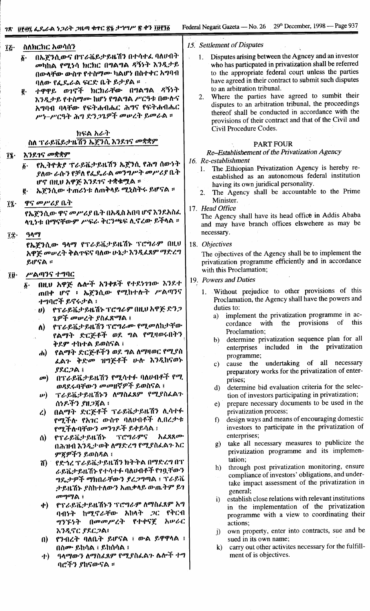| Ίξ·          |                         | ስለክርክር አወሳሰን                         | 15. Settlement of Disputes                                                                              |      |
|--------------|-------------------------|--------------------------------------|---------------------------------------------------------------------------------------------------------|------|
|              | δ.                      | በኤጀንሲውና በፕራቬይታይዜሽን በተሳተፈ ባለሀብት       | Disputes arising between the Agncey and an investor<br>1.                                               |      |
|              |                         | መካከል የሚነሳ ክርክር በግልግል ዳኝነት እንዲታይ      | who has particpated in privatization shall be referred                                                  |      |
|              |                         | በውሳቸው ውስዋ የተስማሙ ካልሆነ በስተቀር አግባብ      | to the appropriate federal court unless the parties                                                     |      |
|              |                         | ባለው የፌዴራል ፍርድ ቤት ይታያል ።              | have agreed in their contract to submit such disputes                                                   |      |
|              |                         | ተዋዋይ ወገኖች ክርክራቸው በግልግል ዳኝነት          | to an arbitration tribunal.                                                                             |      |
|              | ĝ.                      |                                      | 2. Where the parties have agreed to sumbit their                                                        |      |
|              |                         | እንዲታይ የተስማሙ ከሆነ የግልግል ሥርዓቱ በውሉና      | disputes to an arbitration tribunal, the proceedings                                                    |      |
|              |                         | አግባብ ባላቸው የፍትሐብሔር ሕግና የፍትሐብሔር        | thereof shall be conducted in accordance with the                                                       |      |
|              |                         | ሥነ-ሥርዓት ሕግ ድንጋጌዎች መሠረት ይመራል ።        | provisions of their contract and that of the Civil and                                                  |      |
|              |                         |                                      | Civil Procedure Codes.                                                                                  |      |
|              |                         | ክፍል አራት                              |                                                                                                         |      |
|              |                         | ስለ ፕራይቬይታዜሽን ኤጀንሲ እንደገና መቋቋም         | <b>PART FOUR</b>                                                                                        |      |
| $\mathbf{u}$ | እንደገና መቋቋም              |                                      | Re-Establishement of the Privatization Agency                                                           |      |
|              |                         | ፩· የኢትዮጵያ ፕራይቬታይዜሽን ኤጀንሲ የሕግ ሰውነት    | 16. Re-establishment                                                                                    |      |
|              |                         |                                      | 1. The Ethiopian Privatization Agency is hereby re-                                                     |      |
|              |                         | ያለው ራሱን የቻለ የፌዴራል መንግሥት መሥሪያ ቤት      | established as an autonomous federal institution                                                        |      |
|              |                         | ሆኖ በዚህ አዋጅ እንደገና ተቋቁሟል ።             | having its own juridical personality.                                                                   |      |
|              |                         | ፪ · · ኤጀንሲው ተጠሪነቱ ስጠቅላይ ሚኒስትሩ ይሆናል ። | 2. The Agency shall be accountable to the Prime                                                         |      |
| ĩį∙          |                         | ዋና መሥሪያ ቤት                           | Minister.                                                                                               |      |
|              |                         | የኤጀንሲው ዋና መሥሪያ ቤት በአዲስ አበባ ሆኖ እንደአስፈ | 17. Head Office                                                                                         |      |
|              |                         | ላጊነቱ በማናቸውም ሥፍራ ቅርንጫፍ ሊኖረው ይችላል ።    | The Agency shall have its head office in Addis Ababa                                                    |      |
|              |                         |                                      | and may have branch offices elswehere as may be                                                         |      |
| ĨΪ·          | ዓላማ                     |                                      | necessary.                                                                                              |      |
|              |                         | የኤጀንሲው ዓላማ የፕራይቬታይዜሽኑ ፕሮግራም በዚህ      | 18. Objectives                                                                                          |      |
|              |                         | አዋጅ መሠረት ቅልዋፍና ባለው ሁኔታ እንዲፈጸም ማድረግ   | The ojbectives of the Agency shall be to implement the                                                  |      |
|              | ይሆናል ፡፡                 |                                      | privatization programme efficiently and in accordance                                                   |      |
|              |                         |                                      | with this Proclamation;                                                                                 |      |
| Î₿∙          |                         | ሥልጣንና ተግባር                           | 19. Powers and Duties                                                                                   |      |
|              | $\boldsymbol{\delta}$ . | በዚህ አዋጅ ሴሎች አንቀጾች የተደነገገው እንደተ       |                                                                                                         |      |
|              |                         | ጠበቀ ሆኖ ፥ ኤጀንሲው የሚከተሉት ሥልጣንና          | 1. Without prejudice to other provisions of this                                                        |      |
|              |                         | ተግባሮች ይኖሩታል ፤                        | Proclamation, the Agency shall have the powers and                                                      |      |
|              | $\neg$ U)               | የፕራይቬታይዜሽኑ ፕሮግራም በዚህ አዋጅ ድንጋ         | duties to:                                                                                              |      |
|              |                         | ጌዎች መሥረት ያስፌጽማል ፤                    | implement the privatization programme in ac-<br>a)<br>cordance with the provisions of                   | this |
|              | $\Lambda$               | የፕራይቬታይዜሽን ፕሮግራሙ የሚመለከታቸው            | Proclamation;                                                                                           |      |
|              |                         | የልማት ድርጅቶች ወደ ግል የሚዛወሩበትን            | determine privatization sequence plan for all<br>$\mathbf{b}$                                           |      |
|              |                         | ቅደም ተከተል ይወስናል ፤                     | enterprises included in the privatization                                                               |      |
|              | ሐ)                      | የልማት ድርጅቶችን ወደ ግል ለማዛወር የሚያስ         | programme;                                                                                              |      |
|              |                         | ፌልጉ ቅድመ ዝግጅቶች ሁሉ እንዲከናወኑ             | cause the undertaking of all necessary<br>c)                                                            |      |
|              |                         | $PC2$ a i                            | preparatory works for the privatization of enter-                                                       |      |
|              | $\sigma$                | በፕራይቬታይዜሽን የሚሳተፉ ባለሀብቶች የሚ           | prises;                                                                                                 |      |
|              |                         | ወዳደሩባቸውን መመዘኛዎች ይወስናል ፤              | determine bid evaluation criteria for the selec-<br>$\mathbf{d}$                                        |      |
|              | $\boldsymbol{w}$        | ፕራይቬታይዜሽኑን ለማስፈጸም የሚያስፈልጉ            | tion of investors participating in privatization;                                                       |      |
|              |                         | ለነዶችን ያዘጋጀል ፣                        | prepare necessary documents to be used in the<br>e)                                                     |      |
|              | $\mathcal{L}$           | በልማት ድርጅቶች ፕራይቬታይዜሽን ሊሳተፉ            | privatization process;                                                                                  |      |
|              |                         | የሚችሉ የአገር ውስኖ ባለሀብቶች ሊበረታቱ           | design ways and means of encouraging domestic<br>$\mathbf{f}$                                           |      |
|              |                         | የሚችሉባቸውን መንገዶች ይቀይሳል ፤               | investors to participate in the privatization of                                                        |      |
|              | $\Lambda$ )             | የፕራይቬታይዜሽኑ ፕሮግራምና አፈጸጸሙ              | enterprises;                                                                                            |      |
|              |                         | በሕዝብ እንዲታወቅ ለማድረግ የሚያስፌልጉ እር         | take all necessary measures to publicize the<br>g)                                                      |      |
|              |                         | ምጀዎችን ይወስዳል ፤                        | privatization programme and its implemen-                                                               |      |
|              | 7. T                    | የድኅረ ፕራይቬታይዜሽን ክትትል በማድረግ በፕ         | tation;                                                                                                 |      |
|              |                         | ራይቬታይዜሽኑ የተሳተፉ ባለሀብቶች የገቧቸውን         | through post privatization monitoring, ensure<br>h)<br>compliance of investors' obligations, and under- |      |
|              |                         | ግዴታዎች ማክበራቸውን ያረጋግጣል ፣ ፕራይቬ          | take impact assessment of the privatization in                                                          |      |
|              |                         | ታይዜሽኑ ያስከተለውን አጠቃላይ ውጤትም ይገ          | general;                                                                                                |      |
|              |                         | መግማል :                               | establish close relations with relevant institutions<br>$\ddot{1}$                                      |      |
|              | 中)                      | የፕራይቬታይዜሽኑን ፕሮግራም ለማስፈጸም አግ          | in the implementation of the privatization                                                              |      |
|              |                         | ባብነት ከሚኖራቸው አከላት ጋር የቅርብ             | programme with a view to coordinating their                                                             |      |
|              |                         | ግንኙነት በመመሥረት የተቀናጀ አሠራር              | actions;                                                                                                |      |
|              |                         | እንዲኖር ያደርጋል፣                         | own property, enter into contracts, sue and be<br>j)                                                    |      |
|              | $\mathbf{a}$            | የንብረት ባለቤት ይሆናል ፤ ውል ይዋዋላል ፤         | sued in its own name;                                                                                   |      |
|              |                         | በስሙ ይከሳል ፣ ይከሰሳል ፣                   | carry out other activites necessary for the fulfill-<br>$\bf k$                                         |      |
|              | ナ)                      | ዓላማውን ለማስፈጸም የሚያስፈልጉ ሴሎች ተግ          | ment of is objectives.                                                                                  |      |
|              |                         | ባሮችን ያከናውናል ።                        |                                                                                                         |      |
|              |                         |                                      |                                                                                                         |      |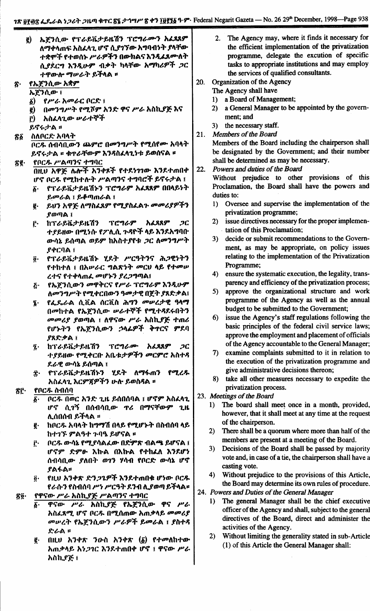|              | $\mathbf{g}$                     | ኤጀንሲው የፕራይቬታይዜሽን ፕሮግራሙን አፈጻጸም                         |     | 2.       | The Agency may, where it finds it necessary for                                                                |
|--------------|----------------------------------|-------------------------------------------------------|-----|----------|----------------------------------------------------------------------------------------------------------------|
|              |                                  | ለማቀላጠፍ አስፈላጊ ሆኖ ሲያገኘው አግባብነት ያላቸው                     |     |          | the efficient implementation of the privatization                                                              |
|              |                                  | ተቋሞች የተወሰኑ ሥራዎችን በውክልና እንዲፈጸሙስት                       |     |          | programme, delegate the excution of specific                                                                   |
|              |                                  | ሲያደርግ እንዲሁም ብቃት ካላቸው አማካሪዎች ጋር                        |     |          | tasks to appropriate institutions and may employ                                                               |
|              |                                  | ተዋውሎ ማሥራት ይችላል ፡፡                                     |     |          | the services of qualified consultants.                                                                         |
| ጽ·           |                                  | የኤጀንሲው አቋም                                            | 20. |          | Organization of the Agency                                                                                     |
|              |                                  | ኤጀንሲው ፤                                               |     |          | The Agency shall have                                                                                          |
|              | $\delta$                         | <i>የሥራ አመራ</i> ር ቦርድ ፤                                |     | 1)       | a Board of Management;                                                                                         |
|              | $\mathbf{g}$                     | በመንግሥት የሚሾም አንድ ዋና ሥራ አስኪያጅ እና                        |     | 2)       | a General Manager to be appointed by the govern-                                                               |
|              | r)                               | አስፌላጊው ሥራተኞች                                          |     |          | ment; and                                                                                                      |
|              |                                  | ይኖሩታል ፡፡                                              |     |          | 3) the necessary staff.                                                                                        |
| ፳፩           |                                  | ስለቦርድ አባላት                                            | 21. |          | Members of the Board                                                                                           |
|              | ቦርዱ ሰብሳቢውን ጨምሮ በመንግሥት የሚሰየሙ አባላት |                                                       |     |          | Members of the Board including the chairperson shall                                                           |
|              |                                  | ይኖሩታል ፡፡ ቁዋራቸውም እንዳስፈላጊነቱ ይወሰናል ፡፡                    |     |          | be designated by the Government; and their number                                                              |
| ፳፪∙          |                                  | የቦርዱ ሥልጣንና ተግባር                                       |     |          | shall be determined as may be necessary.<br>Powers and duties of the Board                                     |
|              |                                  | በዚህ አዋጅ ሌሎች አንቀጾች የተደነገገው እንደተጠበቀ                     | 22. |          |                                                                                                                |
|              |                                  | ሆኖ ቦርዱ የሚከተሉት ሥልጣንና ተግባሮች ይኖሩታል ፤                     |     |          | Without prejudice to other provisions of this<br>Proclamation, the Board shall have the powers and             |
|              | δ.                               | የፕራይቬታይዜሽኑን ፕሮግራም አፈጻጸም በበላይነት                        |     |          | duties to:                                                                                                     |
|              |                                  | ይመራል ፤ ይቆጣጠራል ፤                                       |     | $\bf{1}$ | Oversee and supervise the implementation of the                                                                |
|              | g.                               | ይህን አዋጅ ለማስፈጸም የሚያስፈልጉ መመሪያዎችን<br><b>ያወጣል</b> ፤       |     |          | privatization programme;                                                                                       |
|              | ŗ٠                               | ከፕራይቬታይዜሽን ፕሮግራም አፈጻጸም<br>$\mathcal{C}$               |     |          | 2) issue directives necessary for the proper implemen-                                                         |
|              |                                  | ተያይዘው በሚነሱ የፖሊሲ ጉዳዮች ላይ እንደአግባቡ                       |     |          | tation of this Proclamation;                                                                                   |
|              |                                  | ውሳኔ ይሰጣል ወይም ከአስተያየቱ <i>ጋ</i> ር ለመንግሥት                |     |          | 3) decide or submit recommendations to the Govern-                                                             |
|              |                                  | 94C9A1                                                |     |          | ment, as may be appropriate, on policy issues                                                                  |
|              | ğ.                               | የፕራይቬታይዜሽኑ ሂደት ሥርዓትንና ሕጋዊነትን                          |     |          | relating to the implementation of the Privatization                                                            |
|              |                                  | የተከተለ ፤ በአሥራር ግልጽነት መርህ ላይ የተመሥ                       |     |          | Programme;                                                                                                     |
|              |                                  | ረተና የተቀላጠፌ መሆኑን ያረጋግጣል፤                               |     | 4)       | ensure the systematic execution, the legality, trans-                                                          |
|              | δ٠                               | የኤጀንሲውን መዋቅርና የሥራ ፕሮግራም እንዲሁም                         |     |          | parency and efficiency of the privatization process;                                                           |
|              |                                  | ለመንግሥት የሚቀርበውን ዓመታዊ በጀት ያጸድቃል፤                        |     | 5)       | approve the organizational structure and work                                                                  |
|              | ī.                               | የፌዴራል ሲቪል ሰርቪስ ሕግን መሠረታዊ ዓላማ                          |     |          | programme of the Agency as well as the annual                                                                  |
|              |                                  | በመከተል የኤጀንሲው ሥራተኞች የሚተዳደሩበትን                          |     | 6)       | budget to be submitted to the Government;<br>issue the Agency's staff regulations following the                |
|              |                                  | መመሪያ ያወጣል ፤ ለዋናው ሥራ አስኪያጅ ተጠሪ                         |     |          | basic principles of the federal civil service laws;                                                            |
|              |                                  | የሆኑትን የኤጀንሲውን ኃላፊዎች ቅተርና ምደባ                          |     |          | approve the employment and placement of officials                                                              |
|              |                                  | ያጸድቃል ፤<br>ከፕራይቬታይዜሽን<br>ፕሮግራሙ<br>አፈጻጸም<br>ጋር         |     |          | of the Agency accountable to the General Manager;                                                              |
|              | $\tilde{\mathbf{z}}$ .           | ተያይዘው የሚቀርቡ አቤቱታዎችን መርምሮ አስተዳ                         |     | 7)       | examine complaints submitted to it in relation to                                                              |
|              |                                  | ደራዊ ውሳኔ ይሰጣል ፤                                        |     |          | the execution of the privatization programme and                                                               |
|              | Î۰                               | የፕራይቬታይዜሽኑን ሂደት ለማፋጠን የሚረዱ                            |     |          | give administrative decisions thereon;                                                                         |
|              |                                  | አስፈላጊ እርምጀዎችን ሁሉ ይወስዳል ፡፡                             |     | 8)       | take all other measures necessary to expedite the                                                              |
| <u>፟</u> ፳፫· |                                  | የቦርዱ ስብሰባ                                             |     |          | privatization process.                                                                                         |
|              | $\boldsymbol{\delta}$ .          | ቦርዱ በወር አንድ ጊዜ ይሰበሰባል ፤ ሆኖም አስፈሳጊ                     |     |          | 23. Meetings of the Board                                                                                      |
|              |                                  | ሆኖ ሲገኝ በሰብሳቢው ዋሪ በማናቸውም ጊዜ                            |     | 1)       | The board shall meet once in a month, provided,                                                                |
|              |                                  | ሊሰበሰብ ይችላል ፡፡                                         |     |          | however, that it shall meet at any time at the request                                                         |
|              | g.                               | ከቦርዱ አባላት ከግማሽ በላይ የሚሆኑት በስብሰባ ላይ                     |     |          | of the chairperson.                                                                                            |
|              |                                  | ከተገኙ ምልዓተ ጉባዔ ይሆናል ፡፡                                 |     | 2)       | There shall be a quorum where more than half of the                                                            |
|              | ŗ٠                               | ቦርዱ ውሳኔ የሚያሳልፈው በድምጽ ብልጫ ይሆናል ፤                       |     |          | members are present at a meeting of the Board.                                                                 |
|              |                                  | ሆኖም ድምፁ እኩል በእኩል የተከፈለ እንደሆነ                          |     | 3)       | Decisions of the Board shall be passed by majority<br>vote and, in case of a tie, the chairperson shall have a |
|              |                                  | ሰብሳቢው ያለበት ወገን ሃሳብ የቦርድ ውሳኔ ሆኖ                        |     |          | casting vote.                                                                                                  |
|              |                                  | ያልፋል።                                                 |     | 4)       | Without prejudice to the provisions of this Article,                                                           |
|              | $\boldsymbol{\tilde{0}}\cdot$    | የዚህ አንቀጽ ድን <i>ጋጌ</i> ዎች እንደተጠበቁ ሆነው ቦር <i>ጹ</i>      |     |          | the Board may determine its own rules of procedure.                                                            |
|              |                                  | የራሱን የስብሰባ ሥነ ሥርዓት ደንብ ሊያወጣ ይችላል።                     |     |          | 24. Powers and Duties of the General Manager                                                                   |
| ፳፬·          |                                  | የዋናው ሥራ አስኪያጅ ሥልጣንና ተግባር<br>ዋናው ሥራ አስኪያጅ የኤጀንሲው ዋና ሥራ |     | $\bf{I}$ | The general Manager shall be the chief executive                                                               |
|              | $\vec{b}$ .                      | አስፌጸሚ ሆኖ ቦርዱ በሚሰጠው አጠቃላይ መመሪያ                         |     |          | officer of the Agency and shall, subject to the general                                                        |
|              |                                  | መሠረት የኤጀንሲውን ሥራዎች ይመራል ፤ ያስተዳ                         |     |          | directives of the Board, direct and administer the                                                             |
|              |                                  | ድራል ።                                                 |     |          | activities of the Agency.                                                                                      |
|              | g.                               | በዚሀ አንቀጽ ንውስ አንቀጽ $(\delta)$ የተመለከተው                  |     | 2)       | Without limiting the generality stated in sub-Article                                                          |
|              |                                  | አጠቃላይ አነ <i>ጋገ</i> ር እንደተጠበቀ ሆኖ ፤ ዋናው ሥራ              |     |          | (1) of this Article the General Manager shall:                                                                 |
|              |                                  | አስኪያጅ ፤                                               |     |          |                                                                                                                |
|              |                                  |                                                       |     |          |                                                                                                                |
|              |                                  |                                                       |     |          |                                                                                                                |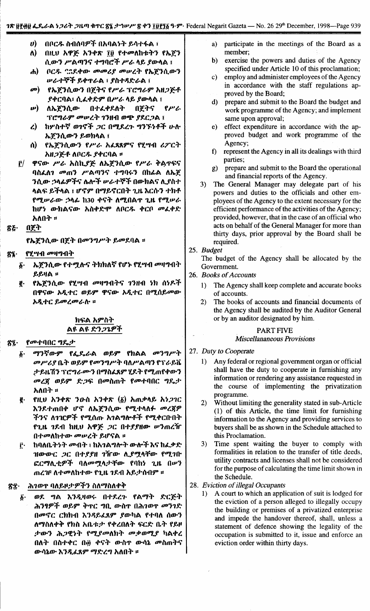- $\boldsymbol{v}$ በቦርዱ ስብሰባዎች በአባልንት ይሳተፋል ፣
- ለ) በዚህ አዋጅ አንቀጽ ፲፱ የተመለከቱትን የኤጀን ሲውን ሥልጣንና ተግባሮች ሥራ ላይ ያውላል ፤
- በርዱ ""የደቀው መመሪያ መሠረት የኤጀንሲውን  $\boldsymbol{d}$ **ሥራተኞች ይቀ**ዋራል ፣ ያስተዳድራል ፤
- $\boldsymbol{\sigma}$ የኤጀንሲውን በጀትና የሥራ ፕሮግራም አዘጋጅቶ ያቀርባል፣ ሲፈቀድም በሥራ ላይ ያውሳል ፤
- $\boldsymbol{\boldsymbol{\nu}})$ በተፈቀደለት ለኤሾንሲው በሾትና  $P^{\nu}$ ፕሮግራም መሠረት ገንዘብ ወጭ ያደርጋል ፤
- ከሦስተኛ ወገኖች ጋር በሚደረጉ ግንኙነቶች ሁሉ  $\mathbf{z}$ ኤጀንሲውን ይወክላል ፤
- የኤጀንሲውን የሥራ አፌጻጸምና የሂሣብ ሪፖርት ለ) አዘጋጅቶ ለቦርዱ ያቀርባል ፡፡
- ዋናው ሥራ አስኪያጅ ለኤጀንሲው የሥራ ቅልጥፍና  $\mathbf{r}$ ባስፈለገ መጠን ሥልጣንና ተግባሩን በከፊል ለኤጀ ንሲው ኃላፊዎችና ሌሎች ሥራተኞች በውክልና ሊያስተ ላልፍ ይችላል ፣ ሆኖም በማይኖርበት ጊዜ እርሱን ተክቶ የሚሥራው ኃላፊ ከ30 ቀናት ለሚበልዋ ጊዜ የሚሥራ ከሆነ ውክልናው አስቀድሞ ለቦርዱ ቀርቦ መፈቀድ አለበት ፡፡
- ኛਣ• በጀት

የኤጀንሲው በጀት በመንግሥት ይመደባል ፡፡

#### የሂሣብ መዛግብት ፳፯·

- ኤጀንሲው የተሟሉና ትክክለኛ የሆኑ የሂሣብ መዛግብት  $\delta$ . **ይይዛል ፡፡**
- የኤጀንሲው የሂሣብ መዛግብትና ገንዘብ ነክ ሰነዶች ę. በዋናው አዲተር ወይም ዋናው አዲተር በሚሰይመው አዲተር ይመረመራሉ ፡፡

## ክፍል አምስት ልዩ ልዩ ድንጋጌዎች

#### የመተባበር ግዴታ 82.

- ማንኛውም የፌዴራል ወይም የክልል መንግሥት  $\delta$ . መሥሪያ ቤት ወይም የመንግሥት ባለሥልጣን የፕራይቬ ታይዜሽን ፕሮግራሙን በማስፈጸም ሂደት የሚጠየቀውን መረጀ ወይም ድጋፍ በመስጠት የመተባበር ግዴታ አለበት ፡፡
- የዚህ አንቀጽ ንውስ አንቀጽ  $(\tilde{g})$  አጠቃላይ አነ*ጋገ*ር ą. እንደተጠበቀ ሆኖ ለኤጀንሲው የሚተላለፉ መረጃዎ ችንና ለገዢዎች የሚሰጡ አገልግሎቶች የሚቀርቡበት የጊዜ *ገ*ደብ ከዚህ አዋጅ *ጋ*ር በተ*ያያ*ዘው ሥንጠረዥ በተመለከተው መሠረት ይሆናል ፡፡
- ከባለቤትነት መብት ፣ ከአንልግሎት ውሎች እና ከፈቃድ Ĉ٠ ዝውውር *ጋ*ር በተያያዘ *ገ*ዥው ሊያሟላቸው የሚገቡ ፎርማሊቲዎች ባለመሟላታቸው የባከነ ጊዜ በሥን ጠረገF ለተመለከተው የጊዜ ገደብ አይታሰብም ፡፡

#### ሕገወተ ባለይዞታዎችን ስለማስለቀቅ ጽ፰∙

ወደ ግል እንዲዛወሩ በተደረጉ የልማት ድርጅት ĝ٠ ሕንፃዎች ወይም ቅጥር ግቢ ውስጥ በሕገወጥ መንገድ በመኖር ርክክብ እንዳይፈጸም ያውካል የተባለ ሰውን ለማስለቀቅ የክስ አቤቱታ የቀረበለት ፍርድ ቤት የይዞ ታውን ሕጋዊነት የሚያመለክት መቃወሚያ ካልቀረ በለት በስተቀር በ፴ ቀናት ውስዋ ውሳኔ መስጠትና ውሳኔው እንዲፈጸም ማድረግ አለበት **።** 

- participate in the meetings of the Board as a  $a)$ member:
- exercise the powers and duties of the Agency  $\mathbf{b}$ specified under Article 10 of this proclamation;
- $c$ ) employ and administer employees of the Agency in accordance with the staff regulations approved by the Board;
- $\mathbf{d}$ prepare and submit to the Board the budget and work programme of the Agency; and implement same upon approval;
- effect expenditure in accordance with the ap $e)$ proved budget and work programme of the Agency:
- f) represent the Agency in all its dealings with third parties:
- prepare and submit to the Board the operational  $g)$ and financial reports of the Agency.
- $3)$ The General Manager may delegate part of his powers and duties to the officials and other employees of the Agency to the extent necessary for the efficient performance of the activities of the Agency; provided, however, that in the case of an official who acts on behalf of the General Manager for more than thirty days, prior approval by the Board shall be required.

## 25. Budget

The budget of the Agency shall be allocated by the Government.

- 26. Books of Accounts
	- The Agency shall keep complete and accurate books  $1)$ of accounts.
	- The books of accounts and financial documents of  $2)$ the Agency shall be audited by the Auditor General or by an auditor designated by him.

## **PART FIVE**

#### **Miscellananeous Provisions**

- 27. Duty to Cooperate
	- Any federal or regional government organ or official  $1)$ shall have the duty to cooperate in furnishing any information or rendering any assistance requested in the course of implementing the privatization programme.
	- Without limiting the generality stated in sub-Article  $2)$ (1) of this Article, the time limit for furnishing information to the Agency and providing services to buyers shall be as shown in the Schedule attached to this Proclamation.
	- Time spent waiting the buyer to comply with  $3)$ formalities in relation to the transfer of title deeds, utility contracts and licenses shall not be considered for the purpose of calculating the time limit shown in the Schedule.
- 28. Eviction of illegal Occupants
	- A court to which an application of suit is lodged for  $1)$ the eviction of a person alleged to illegally occupy the building or premises of a privatized enterprise and impede the handover thereof, shall, unless a statement of defence showing the legality of the occupation is submitted to it, issue and enforce an eviction order within thirty days.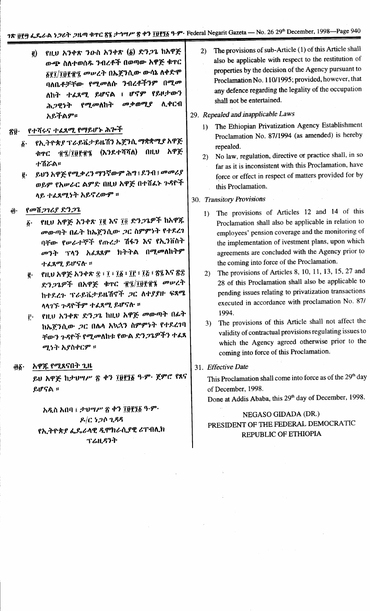፪) የዚሀ አንቀጽ ንውስ አንቀጽ (፩) ድንጋጌ ከአዋጅ ውጭ ስለተወሰዱ ንብረቶች በወጣው አዋጅ ቁዋር ፩፻፲/፲፱፻፹፺ መሠረት በኤጀንሲው ውሳኔ ለቀድሞ ባለቤቶቻቸው የሚመለሱ ንብረቶችንም በሚመ ለከት ተፈጸሚ ይሆናል ፤ ሆኖም የይዞታውን መቃወሚያ ሕጋዊነት የሚመለከት ሊቀርብ አይችልም።

#### የተሻሩና ተፈጸሚ የማይሆኑ ሕጕች  $\mathbf{\hat{g}}\mathbf{\hat{y}}$  .

- ፩· የኢትዮጵያ ፕራይቬታይዜሽን ኤጀንሲ ማቋቋሚያ አዋጅ ቁጥር ፹፯/፲፱፻፹፯ (እንደተሻሻለ) በዚህ አዋጅ **ナሽズል።**
- ፪· ይህን አዋጅ የሚቃረን ማንኛውም ሕግ ፤ ደንብ ፤ መመሪያ ወይም የአሥራር ልምድ በዚህ አዋጅ በተሸፌኑ ጉዳዮች ላይ ተፈጸሚነት አይኖረውም ፡፡

#### የመሽጋገሪያ ድንጋጌ â.

- የዚህ አዋጅ አንቀጽ ፲፪ እና ፲፬ ድን*ጋጌ*ዎች ከአዋጁ  $\boldsymbol{\delta}$ . *መ*ውጣት በፊት ከኤጀንሲው *ጋ*ር ስምምነት የተደረገ ባቸው የሥራተኞች የጡረታ ሽፋን እና የኢንቨስት *መንት* ፕላን አፈጸጸም ክትትል በሚመለከትም ተፈጸሚ ይሆናሉ ።
- ፪· የዚህ አዋጅ አንቀጽ ፰ ፣ ፲ ፣ ፲፩ ፣ ፲፫ ፣ ፲፭ ፣ ፳፯ እና ፳፰ ድንጋጌዎች በአዋጅ ቁጥር ፹፯/፲፱፻፹፮ መሥረት ከተደረጉ ፕራይቬታይዜሽኖች ጋር ለተያያዙ ፍጻሜ ላላገኙ ጉዳዮችም ተፈጸሚ ይሆናሉ ።
- የዚህ አንቀጽ ድን*ጋ*ጌ ከዚህ አዋጅ መውጣት በራት  $\mathbf{r}$ . ከኤጀንሲው *ጋ*ር በሌላ አኳኋን ስምምነት የተደረገባ ቸውን ጉዳዮች የሚመለከቱ የውል ድን*ጋጌዎ*ችን ተ*ል*ጸ ሚነት አያስቀርም ።

#### አዋጁ የሚጸናበት ጊዜ ĝ6∙

ይህ አዋጅ ከታህግሥ ፳ ቀን ፲፱፻፺፩ ዓ·ም· ጀምሮ የጸና ይሆናል ፡፡

አዲስ አበባ ፤ ታህሣሥ ፳ ቀን ፲፱፻፺፩ ዓ.ም.  $R/C$  5.20  $288$ የኢትዮጵያ ፌዶራላዊ ዲሞክራሲያዊ ሪፐብሊክ ፕሬዚዳንት

2) The provisions of sub-Article (1) of this Article shall also be applicable with respect to the restitution of properties by the decision of the Agency pursuant to Proclamation No. 110/1995; provided, however, that any defence regarding the legality of the occupation shall not be entertained.

#### 29. Repealed and inapplicable Laws

- 1) The Ethiopian Privatization Agency Establishment Proclamation No. 87/1994 (as amended) is hereby repealed.
- No law, regulation, directive or practice shall, in so  $(2)$ far as it is inconsistent with this Proclamation, have force or effect in respect of matters provided for by this Proclamation.

## 30. Transitory Provisions

- 1) The provisions of Articles 12 and 14 of this Proclamation shall also be applicable in relation to employees' pension coverage and the monitoring of the implementation of ivestment plans, upon which agreements are concluded with the Agency prior to the coming into force of the Proclamation.
- The provisions of Articles 8, 10, 11, 13, 15, 27 and  $(2)$ 28 of this Proclamation shall also be applicable to pending issues relating to privatization transactions executed in accordance with proclamation No. 87/ 1994.
- 3) The provisions of this Article shall not affect the validity of contractual provisions regulating issues to which the Agency agreed otherwise prior to the coming into force of this Proclamation.

## 31. Effective Date

This Proclamation shall come into force as of the 29<sup>th</sup> day of December, 1998.

Done at Addis Ababa, this 29<sup>th</sup> day of December, 1998.

# NEGASO GIDADA (DR.) PRESIDENT OF THE FEDERAL DEMOCRATIC REPUBLIC OF ETHIOPIA